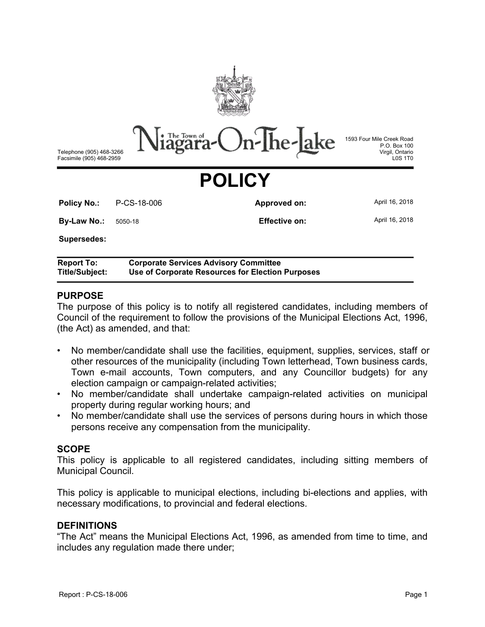

The Town of **r-Ihe-**

Telephone (905) 468-3266 Facsimile (905) 468-2959

1593 Four Mile Creek Road P.O. Box 100 Virgil, Ontario L0S 1T0

# **POLICY**

| <b>Policy No.:</b>         | P-CS-18-006 | Approved on:  | April 16, 2018 |
|----------------------------|-------------|---------------|----------------|
| <b>By-Law No.:</b> 5050-18 |             | Effective on: | April 16, 2018 |
| <b>Supersedes:</b>         |             |               |                |

**Report To: Corporate Services Advisory Committee Title/Subject: Use of Corporate Resources for Election Purposes**

### **PURPOSE**

The purpose of this policy is to notify all registered candidates, including members of Council of the requirement to follow the provisions of the Municipal Elections Act, 1996, (the Act) as amended, and that:

- No member/candidate shall use the facilities, equipment, supplies, services, staff or other resources of the municipality (including Town letterhead, Town business cards, Town e-mail accounts, Town computers, and any Councillor budgets) for any election campaign or campaign-related activities;
- No member/candidate shall undertake campaign-related activities on municipal property during regular working hours; and
- No member/candidate shall use the services of persons during hours in which those persons receive any compensation from the municipality.

#### **SCOPE**

This policy is applicable to all registered candidates, including sitting members of Municipal Council.

This policy is applicable to municipal elections, including bi-elections and applies, with necessary modifications, to provincial and federal elections.

#### **DEFINITIONS**

"The Act" means the Municipal Elections Act, 1996, as amended from time to time, and includes any regulation made there under;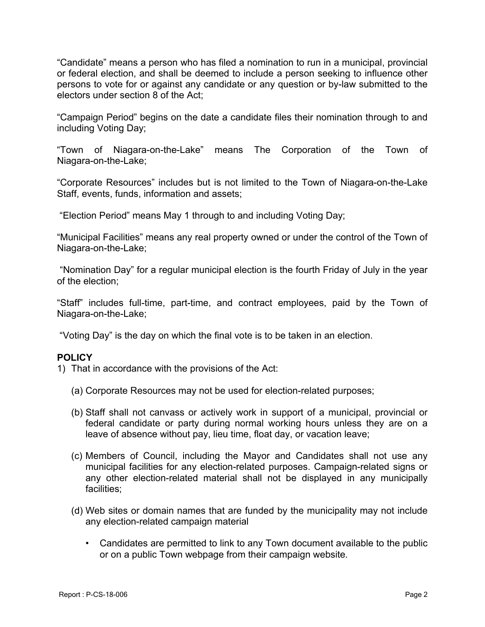"Candidate" means a person who has filed a nomination to run in a municipal, provincial or federal election, and shall be deemed to include a person seeking to influence other persons to vote for or against any candidate or any question or by-law submitted to the electors under section 8 of the Act;

"Campaign Period" begins on the date a candidate files their nomination through to and including Voting Day;

"Town of Niagara-on-the-Lake" means The Corporation of the Town of Niagara-on-the-Lake;

"Corporate Resources" includes but is not limited to the Town of Niagara-on-the-Lake Staff, events, funds, information and assets;

"Election Period" means May 1 through to and including Voting Day;

"Municipal Facilities" means any real property owned or under the control of the Town of Niagara-on-the-Lake;

 "Nomination Day" for a regular municipal election is the fourth Friday of July in the year of the election;

"Staff" includes full-time, part-time, and contract employees, paid by the Town of Niagara-on-the-Lake;

"Voting Day" is the day on which the final vote is to be taken in an election.

## **POLICY**

- 1) That in accordance with the provisions of the Act:
	- (a) Corporate Resources may not be used for election-related purposes;
	- (b) Staff shall not canvass or actively work in support of a municipal, provincial or federal candidate or party during normal working hours unless they are on a leave of absence without pay, lieu time, float day, or vacation leave;
	- (c) Members of Council, including the Mayor and Candidates shall not use any municipal facilities for any election-related purposes. Campaign-related signs or any other election-related material shall not be displayed in any municipally facilities;
	- (d) Web sites or domain names that are funded by the municipality may not include any election-related campaign material
		- Candidates are permitted to link to any Town document available to the public or on a public Town webpage from their campaign website.